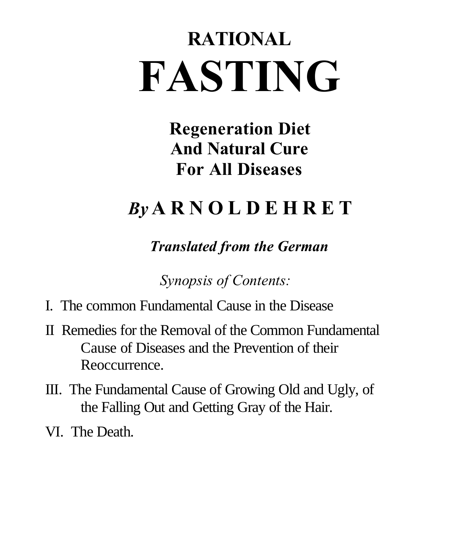# **RATIONAL FASTING**

**Regeneration Diet And Natural Cure For All Diseases**

## *By* **A R N O L D E H R E T**

*Translated from the German*

*Synopsis of Contents:*

- I. The common Fundamental Cause in the Disease
- II Remedies for the Removal of the Common Fundamental Cause of Diseases and the Prevention of their Reoccurrence.
- III. The Fundamental Cause of Growing Old and Ugly, of the Falling Out and Getting Gray of the Hair.
- VI. The Death.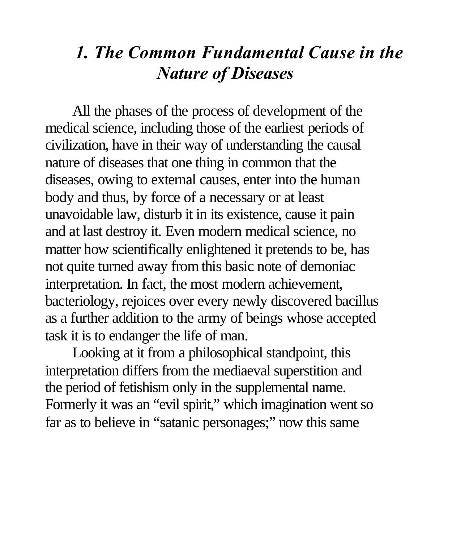### *1. The Common Fundamental Cause in the Nature of Diseases*

All the phases of the process of development of the medical science, including those of the earliest periods of civilization, have in their way of understanding the causal nature of diseases that one thing in common that the diseases, owing to external causes, enter into the human body and thus, by force of a necessary or at least unavoidable law, disturb it in its existence, cause it pain and at last destroy it. Even modern medical science, no matter how scientifically enlightened it pretends to be, has not quite turned away from this basic note of demoniac interpretation. In fact, the most modern achievement, bacteriology, rejoices over every newly discovered bacillus as a further addition to the army of beings whose accepted task it is to endanger the life of man.

Looking at it from a philosophical standpoint, this interpretation differs from the mediaeval superstition and the period of fetishism only in the supplemental name. Formerly it was an "evil spirit," which imagination went so far as to believe in "satanic personages;" now this same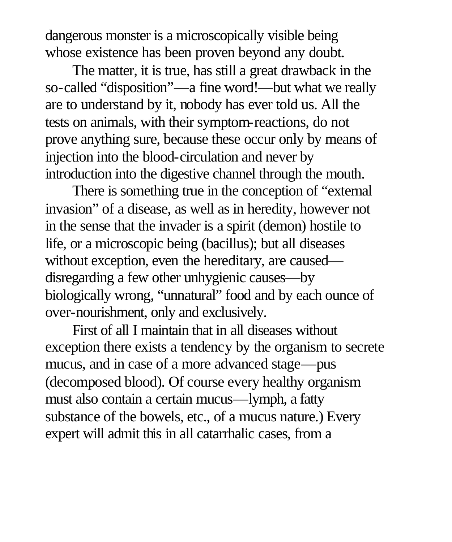dangerous monster is a microscopically visible being whose existence has been proven beyond any doubt.

The matter, it is true, has still a great drawback in the so-called "disposition"—a fine word!—but what we really are to understand by it, nobody has ever told us. All the tests on animals, with their symptom-reactions, do not prove anything sure, because these occur only by means of injection into the blood-circulation and never by introduction into the digestive channel through the mouth.

There is something true in the conception of "external invasion" of a disease, as well as in heredity, however not in the sense that the invader is a spirit (demon) hostile to life, or a microscopic being (bacillus); but all diseases without exception, even the hereditary, are caused disregarding a few other unhygienic causes—by biologically wrong, "unnatural" food and by each ounce of over-nourishment, only and exclusively.

First of all I maintain that in all diseases without exception there exists a tendency by the organism to secrete mucus, and in case of a more advanced stage—pus (decomposed blood). Of course every healthy organism must also contain a certain mucus—lymph, a fatty substance of the bowels, etc., of a mucus nature.) Every expert will admit this in all catarrhalic cases, from a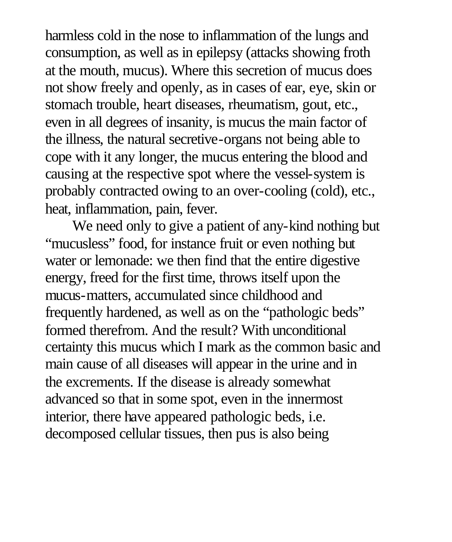harmless cold in the nose to inflammation of the lungs and consumption, as well as in epilepsy (attacks showing froth at the mouth, mucus). Where this secretion of mucus does not show freely and openly, as in cases of ear, eye, skin or stomach trouble, heart diseases, rheumatism, gout, etc., even in all degrees of insanity, is mucus the main factor of the illness, the natural secretive-organs not being able to cope with it any longer, the mucus entering the blood and causing at the respective spot where the vessel-system is probably contracted owing to an over-cooling (cold), etc., heat, inflammation, pain, fever.

We need only to give a patient of any-kind nothing but "mucusless" food, for instance fruit or even nothing but water or lemonade: we then find that the entire digestive energy, freed for the first time, throws itself upon the mucus-matters, accumulated since childhood and frequently hardened, as well as on the "pathologic beds" formed therefrom. And the result? With unconditional certainty this mucus which I mark as the common basic and main cause of all diseases will appear in the urine and in the excrements. If the disease is already somewhat advanced so that in some spot, even in the innermost interior, there have appeared pathologic beds, i.e. decomposed cellular tissues, then pus is also being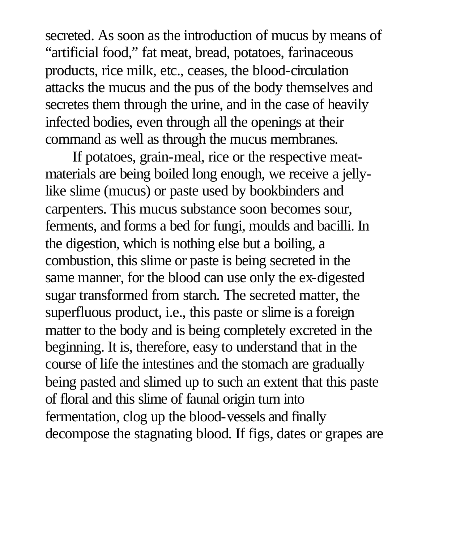secreted. As soon as the introduction of mucus by means of "artificial food," fat meat, bread, potatoes, farinaceous products, rice milk, etc., ceases, the blood-circulation attacks the mucus and the pus of the body themselves and secretes them through the urine, and in the case of heavily infected bodies, even through all the openings at their command as well as through the mucus membranes.

If potatoes, grain-meal, rice or the respective meatmaterials are being boiled long enough, we receive a jellylike slime (mucus) or paste used by bookbinders and carpenters. This mucus substance soon becomes sour, ferments, and forms a bed for fungi, moulds and bacilli. In the digestion, which is nothing else but a boiling, a combustion, this slime or paste is being secreted in the same manner, for the blood can use only the ex-digested sugar transformed from starch. The secreted matter, the superfluous product, i.e., this paste or slime is a foreign matter to the body and is being completely excreted in the beginning. It is, therefore, easy to understand that in the course of life the intestines and the stomach are gradually being pasted and slimed up to such an extent that this paste of floral and this slime of faunal origin turn into fermentation, clog up the blood-vessels and finally decompose the stagnating blood. If figs, dates or grapes are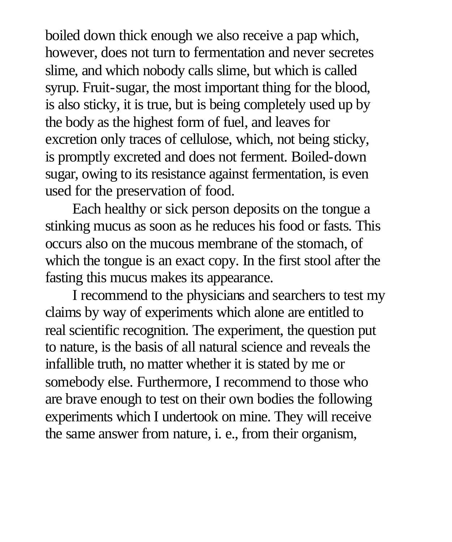boiled down thick enough we also receive a pap which, however, does not turn to fermentation and never secretes slime, and which nobody calls slime, but which is called syrup. Fruit-sugar, the most important thing for the blood, is also sticky, it is true, but is being completely used up by the body as the highest form of fuel, and leaves for excretion only traces of cellulose, which, not being sticky, is promptly excreted and does not ferment. Boiled-down sugar, owing to its resistance against fermentation, is even used for the preservation of food.

Each healthy or sick person deposits on the tongue a stinking mucus as soon as he reduces his food or fasts. This occurs also on the mucous membrane of the stomach, of which the tongue is an exact copy. In the first stool after the fasting this mucus makes its appearance.

I recommend to the physicians and searchers to test my claims by way of experiments which alone are entitled to real scientific recognition. The experiment, the question put to nature, is the basis of all natural science and reveals the infallible truth, no matter whether it is stated by me or somebody else. Furthermore, I recommend to those who are brave enough to test on their own bodies the following experiments which I undertook on mine. They will receive the same answer from nature, i. e., from their organism,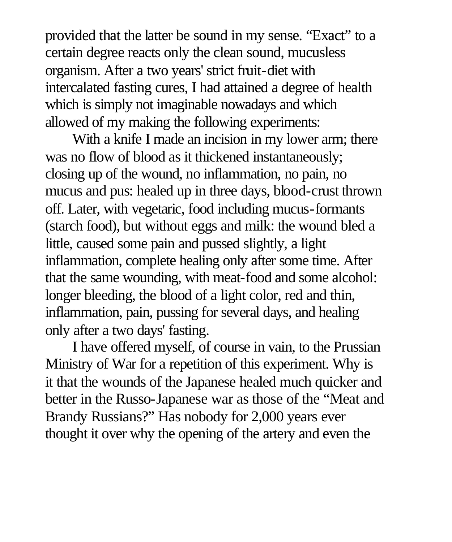provided that the latter be sound in my sense. "Exact" to a certain degree reacts only the clean sound, mucusless organism. After a two years' strict fruit-diet with intercalated fasting cures, I had attained a degree of health which is simply not imaginable nowadays and which allowed of my making the following experiments:

With a knife I made an incision in my lower arm; there was no flow of blood as it thickened instantaneously; closing up of the wound, no inflammation, no pain, no mucus and pus: healed up in three days, blood-crust thrown off. Later, with vegetaric, food including mucus-formants (starch food), but without eggs and milk: the wound bled a little, caused some pain and pussed slightly, a light inflammation, complete healing only after some time. After that the same wounding, with meat-food and some alcohol: longer bleeding, the blood of a light color, red and thin, inflammation, pain, pussing for several days, and healing only after a two days' fasting.

I have offered myself, of course in vain, to the Prussian Ministry of War for a repetition of this experiment. Why is it that the wounds of the Japanese healed much quicker and better in the Russo-Japanese war as those of the "Meat and Brandy Russians?" Has nobody for 2,000 years ever thought it over why the opening of the artery and even the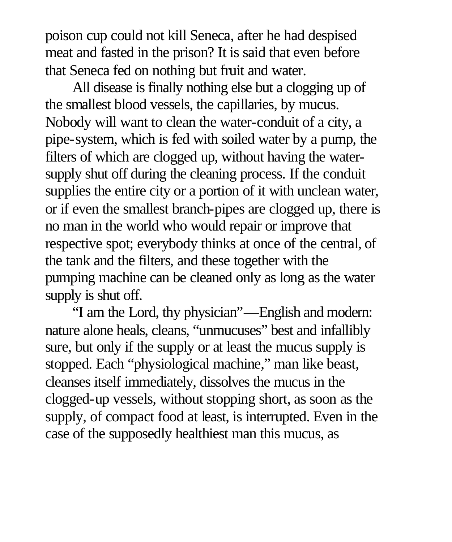poison cup could not kill Seneca, after he had despised meat and fasted in the prison? It is said that even before that Seneca fed on nothing but fruit and water.

All disease is finally nothing else but a clogging up of the smallest blood vessels, the capillaries, by mucus. Nobody will want to clean the water-conduit of a city, a pipe-system, which is fed with soiled water by a pump, the filters of which are clogged up, without having the watersupply shut off during the cleaning process. If the conduit supplies the entire city or a portion of it with unclean water, or if even the smallest branch-pipes are clogged up, there is no man in the world who would repair or improve that respective spot; everybody thinks at once of the central, of the tank and the filters, and these together with the pumping machine can be cleaned only as long as the water supply is shut off.

"I am the Lord, thy physician"—English and modern: nature alone heals, cleans, "unmucuses" best and infallibly sure, but only if the supply or at least the mucus supply is stopped. Each "physiological machine," man like beast, cleanses itself immediately, dissolves the mucus in the clogged-up vessels, without stopping short, as soon as the supply, of compact food at least, is interrupted. Even in the case of the supposedly healthiest man this mucus, as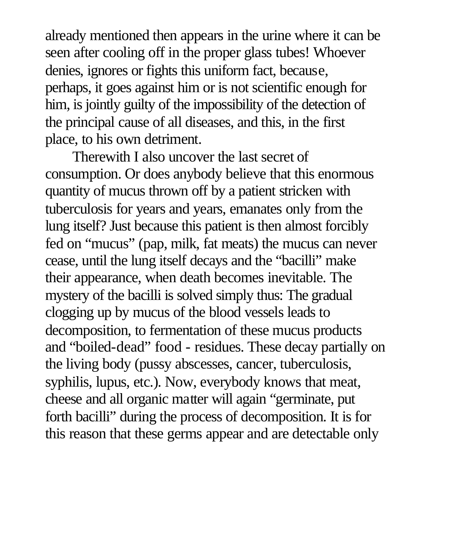already mentioned then appears in the urine where it can be seen after cooling off in the proper glass tubes! Whoever denies, ignores or fights this uniform fact, because, perhaps, it goes against him or is not scientific enough for him, is jointly guilty of the impossibility of the detection of the principal cause of all diseases, and this, in the first place, to his own detriment.

Therewith I also uncover the last secret of consumption. Or does anybody believe that this enormous quantity of mucus thrown off by a patient stricken with tuberculosis for years and years, emanates only from the lung itself? Just because this patient is then almost forcibly fed on "mucus" (pap, milk, fat meats) the mucus can never cease, until the lung itself decays and the "bacilli" make their appearance, when death becomes inevitable. The mystery of the bacilli is solved simply thus: The gradual clogging up by mucus of the blood vessels leads to decomposition, to fermentation of these mucus products and "boiled-dead" food - residues. These decay partially on the living body (pussy abscesses, cancer, tuberculosis, syphilis, lupus, etc.). Now, everybody knows that meat, cheese and all organic matter will again "germinate, put forth bacilli" during the process of decomposition. It is for this reason that these germs appear and are detectable only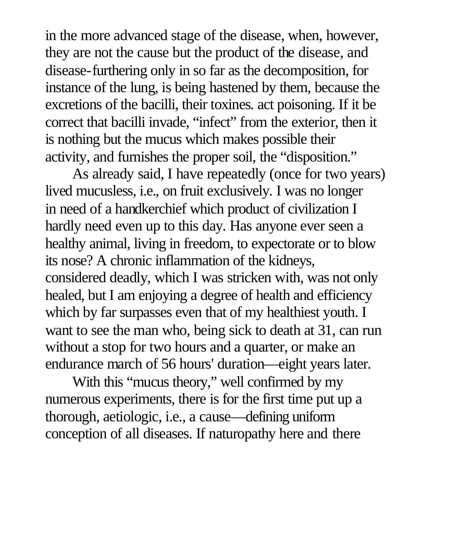in the more advanced stage of the disease, when, however, they are not the cause but the product of the disease, and disease-furthering only in so far as the decomposition, for instance of the lung, is being hastened by them, because the excretions of the bacilli, their toxines. act poisoning. If it be correct that bacilli invade, "infect" from the exterior, then it is nothing but the mucus which makes possible their activity, and furnishes the proper soil, the "disposition."

As already said, I have repeatedly (once for two years) lived mucusless, i.e., on fruit exclusively. I was no longer in need of a handkerchief which product of civilization I hardly need even up to this day. Has anyone ever seen a healthy animal, living in freedom, to expectorate or to blow its nose? A chronic inflammation of the kidneys, considered deadly, which I was stricken with, was not only healed, but I am enjoying a degree of health and efficiency which by far surpasses even that of my healthiest youth. I want to see the man who, being sick to death at 31, can run without a stop for two hours and a quarter, or make an endurance march of 56 hours' duration—eight years later.

With this "mucus theory," well confirmed by my numerous experiments, there is for the first time put up a thorough, aetiologic, i.e., a cause—defining uniform conception of all diseases. If naturopathy here and there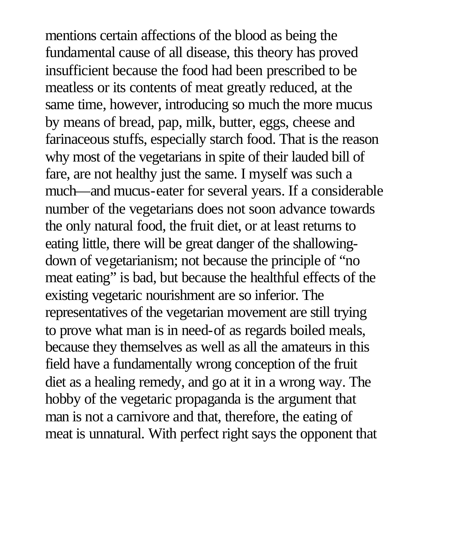mentions certain affections of the blood as being the fundamental cause of all disease, this theory has proved insufficient because the food had been prescribed to be meatless or its contents of meat greatly reduced, at the same time, however, introducing so much the more mucus by means of bread, pap, milk, butter, eggs, cheese and farinaceous stuffs, especially starch food. That is the reason why most of the vegetarians in spite of their lauded bill of fare, are not healthy just the same. I myself was such a much—and mucus-eater for several years. If a considerable number of the vegetarians does not soon advance towards the only natural food, the fruit diet, or at least returns to eating little, there will be great danger of the shallowingdown of vegetarianism; not because the principle of "no meat eating" is bad, but because the healthful effects of the existing vegetaric nourishment are so inferior. The representatives of the vegetarian movement are still trying to prove what man is in need-of as regards boiled meals, because they themselves as well as all the amateurs in this field have a fundamentally wrong conception of the fruit diet as a healing remedy, and go at it in a wrong way. The hobby of the vegetaric propaganda is the argument that man is not a carnivore and that, therefore, the eating of meat is unnatural. With perfect right says the opponent that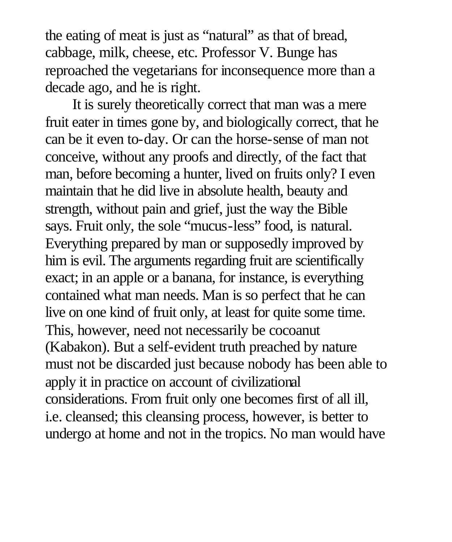the eating of meat is just as "natural" as that of bread, cabbage, milk, cheese, etc. Professor V. Bunge has reproached the vegetarians for inconsequence more than a decade ago, and he is right.

It is surely theoretically correct that man was a mere fruit eater in times gone by, and biologically correct, that he can be it even to-day. Or can the horse-sense of man not conceive, without any proofs and directly, of the fact that man, before becoming a hunter, lived on fruits only? I even maintain that he did live in absolute health, beauty and strength, without pain and grief, just the way the Bible says. Fruit only, the sole "mucus-less" food, is natural. Everything prepared by man or supposedly improved by him is evil. The arguments regarding fruit are scientifically exact; in an apple or a banana, for instance, is everything contained what man needs. Man is so perfect that he can live on one kind of fruit only, at least for quite some time. This, however, need not necessarily be cocoanut (Kabakon). But a self-evident truth preached by nature must not be discarded just because nobody has been able to apply it in practice on account of civilizational considerations. From fruit only one becomes first of all ill, i.e. cleansed; this cleansing process, however, is better to undergo at home and not in the tropics. No man would have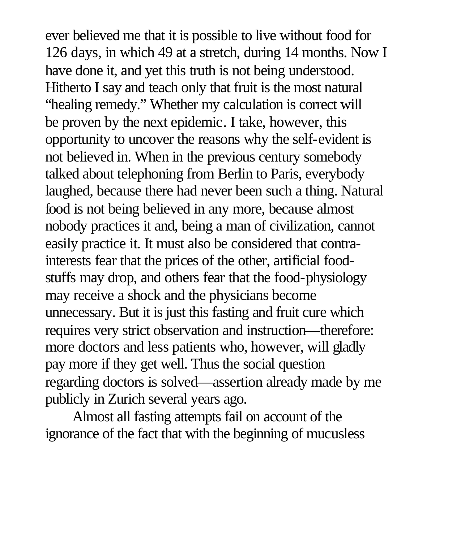ever believed me that it is possible to live without food for 126 days, in which 49 at a stretch, during 14 months. Now I have done it, and yet this truth is not being understood. Hitherto I say and teach only that fruit is the most natural "healing remedy." Whether my calculation is correct will be proven by the next epidemic. I take, however, this opportunity to uncover the reasons why the self-evident is not believed in. When in the previous century somebody talked about telephoning from Berlin to Paris, everybody laughed, because there had never been such a thing. Natural food is not being believed in any more, because almost nobody practices it and, being a man of civilization, cannot easily practice it. It must also be considered that contrainterests fear that the prices of the other, artificial foodstuffs may drop, and others fear that the food-physiology may receive a shock and the physicians become unnecessary. But it is just this fasting and fruit cure which requires very strict observation and instruction—therefore: more doctors and less patients who, however, will gladly pay more if they get well. Thus the social question regarding doctors is solved—assertion already made by me publicly in Zurich several years ago.

Almost all fasting attempts fail on account of the ignorance of the fact that with the beginning of mucusless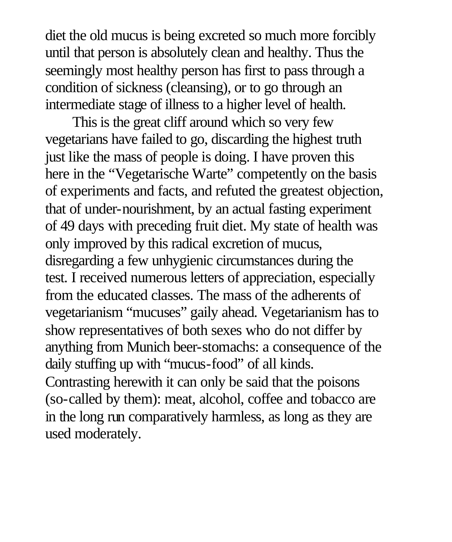diet the old mucus is being excreted so much more forcibly until that person is absolutely clean and healthy. Thus the seemingly most healthy person has first to pass through a condition of sickness (cleansing), or to go through an intermediate stage of illness to a higher level of health.

This is the great cliff around which so very few vegetarians have failed to go, discarding the highest truth just like the mass of people is doing. I have proven this here in the "Vegetarische Warte" competently on the basis of experiments and facts, and refuted the greatest objection, that of under-nourishment, by an actual fasting experiment of 49 days with preceding fruit diet. My state of health was only improved by this radical excretion of mucus, disregarding a few unhygienic circumstances during the test. I received numerous letters of appreciation, especially from the educated classes. The mass of the adherents of vegetarianism "mucuses" gaily ahead. Vegetarianism has to show representatives of both sexes who do not differ by anything from Munich beer-stomachs: a consequence of the daily stuffing up with "mucus-food" of all kinds. Contrasting herewith it can only be said that the poisons (so-called by them): meat, alcohol, coffee and tobacco are in the long run comparatively harmless, as long as they are used moderately.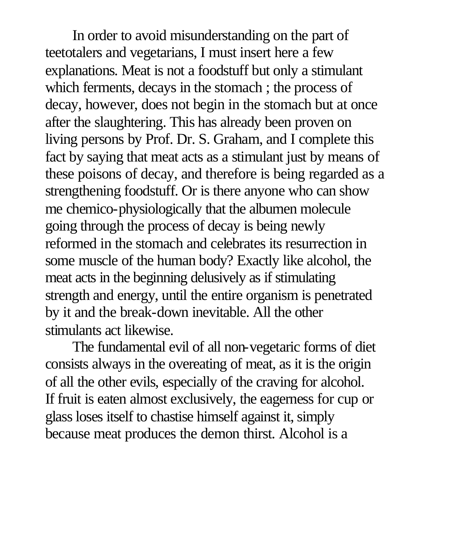In order to avoid misunderstanding on the part of teetotalers and vegetarians, I must insert here a few explanations. Meat is not a foodstuff but only a stimulant which ferments, decays in the stomach ; the process of decay, however, does not begin in the stomach but at once after the slaughtering. This has already been proven on living persons by Prof. Dr. S. Graham, and I complete this fact by saying that meat acts as a stimulant just by means of these poisons of decay, and therefore is being regarded as a strengthening foodstuff. Or is there anyone who can show me chemico-physiologically that the albumen molecule going through the process of decay is being newly reformed in the stomach and celebrates its resurrection in some muscle of the human body? Exactly like alcohol, the meat acts in the beginning delusively as if stimulating strength and energy, until the entire organism is penetrated by it and the break-down inevitable. All the other stimulants act likewise.

The fundamental evil of all non-vegetaric forms of diet consists always in the overeating of meat, as it is the origin of all the other evils, especially of the craving for alcohol. If fruit is eaten almost exclusively, the eagerness for cup or glass loses itself to chastise himself against it, simply because meat produces the demon thirst. Alcohol is a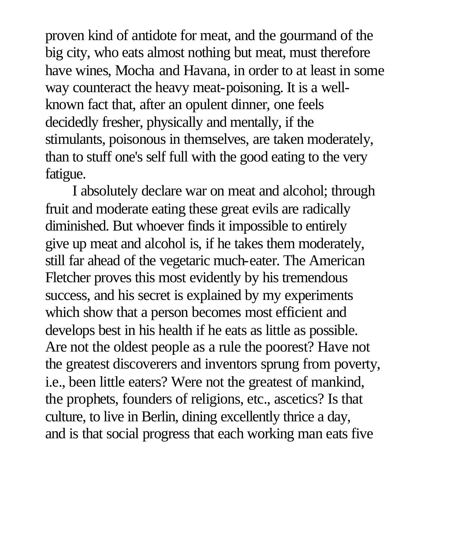proven kind of antidote for meat, and the gourmand of the big city, who eats almost nothing but meat, must therefore have wines, Mocha and Havana, in order to at least in some way counteract the heavy meat-poisoning. It is a wellknown fact that, after an opulent dinner, one feels decidedly fresher, physically and mentally, if the stimulants, poisonous in themselves, are taken moderately, than to stuff one's self full with the good eating to the very fatigue.

I absolutely declare war on meat and alcohol; through fruit and moderate eating these great evils are radically diminished. But whoever finds it impossible to entirely give up meat and alcohol is, if he takes them moderately, still far ahead of the vegetaric much-eater. The American Fletcher proves this most evidently by his tremendous success, and his secret is explained by my experiments which show that a person becomes most efficient and develops best in his health if he eats as little as possible. Are not the oldest people as a rule the poorest? Have not the greatest discoverers and inventors sprung from poverty, i.e., been little eaters? Were not the greatest of mankind, the prophets, founders of religions, etc., ascetics? Is that culture, to live in Berlin, dining excellently thrice a day, and is that social progress that each working man eats five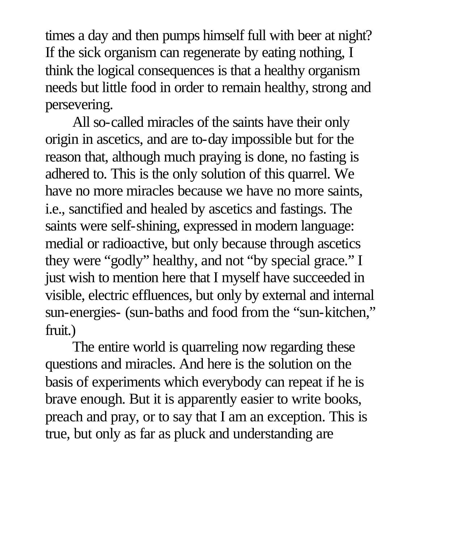times a day and then pumps himself full with beer at night? If the sick organism can regenerate by eating nothing, I think the logical consequences is that a healthy organism needs but little food in order to remain healthy, strong and persevering.

All so-called miracles of the saints have their only origin in ascetics, and are to-day impossible but for the reason that, although much praying is done, no fasting is adhered to. This is the only solution of this quarrel. We have no more miracles because we have no more saints, i.e., sanctified and healed by ascetics and fastings. The saints were self-shining, expressed in modern language: medial or radioactive, but only because through ascetics they were "godly" healthy, and not "by special grace." I just wish to mention here that I myself have succeeded in visible, electric effluences, but only by external and internal sun-energies- (sun-baths and food from the "sun-kitchen," fruit.)

The entire world is quarreling now regarding these questions and miracles. And here is the solution on the basis of experiments which everybody can repeat if he is brave enough. But it is apparently easier to write books, preach and pray, or to say that I am an exception. This is true, but only as far as pluck and understanding are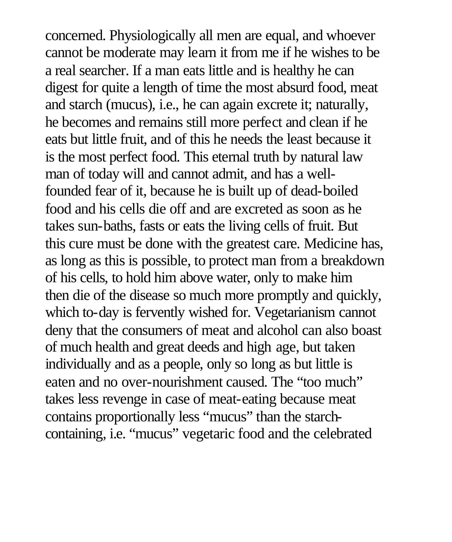concerned. Physiologically all men are equal, and whoever cannot be moderate may learn it from me if he wishes to be a real searcher. If a man eats little and is healthy he can digest for quite a length of time the most absurd food, meat and starch (mucus), i.e., he can again excrete it; naturally, he becomes and remains still more perfect and clean if he eats but little fruit, and of this he needs the least because it is the most perfect food. This eternal truth by natural law man of today will and cannot admit, and has a wellfounded fear of it, because he is built up of dead-boiled food and his cells die off and are excreted as soon as he takes sun-baths, fasts or eats the living cells of fruit. But this cure must be done with the greatest care. Medicine has, as long as this is possible, to protect man from a breakdown of his cells, to hold him above water, only to make him then die of the disease so much more promptly and quickly, which to-day is fervently wished for. Vegetarianism cannot deny that the consumers of meat and alcohol can also boast of much health and great deeds and high age, but taken individually and as a people, only so long as but little is eaten and no over-nourishment caused. The "too much" takes less revenge in case of meat-eating because meat contains proportionally less "mucus" than the starchcontaining, i.e. "mucus" vegetaric food and the celebrated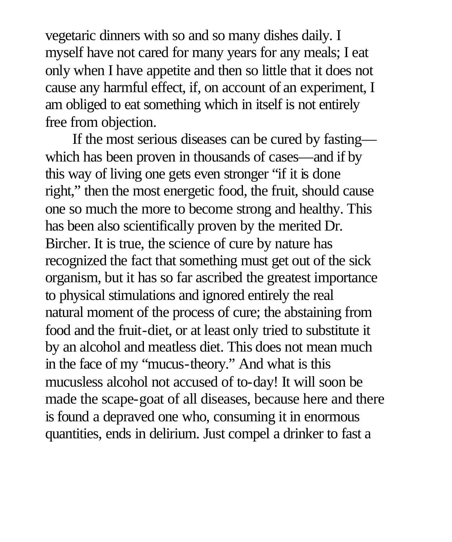vegetaric dinners with so and so many dishes daily. I myself have not cared for many years for any meals; I eat only when I have appetite and then so little that it does not cause any harmful effect, if, on account of an experiment, I am obliged to eat something which in itself is not entirely free from objection.

If the most serious diseases can be cured by fasting which has been proven in thousands of cases—and if by this way of living one gets even stronger "if it is done right," then the most energetic food, the fruit, should cause one so much the more to become strong and healthy. This has been also scientifically proven by the merited Dr. Bircher. It is true, the science of cure by nature has recognized the fact that something must get out of the sick organism, but it has so far ascribed the greatest importance to physical stimulations and ignored entirely the real natural moment of the process of cure; the abstaining from food and the fruit-diet, or at least only tried to substitute it by an alcohol and meatless diet. This does not mean much in the face of my "mucus-theory." And what is this mucusless alcohol not accused of to-day! It will soon be made the scape-goat of all diseases, because here and there is found a depraved one who, consuming it in enormous quantities, ends in delirium. Just compel a drinker to fast a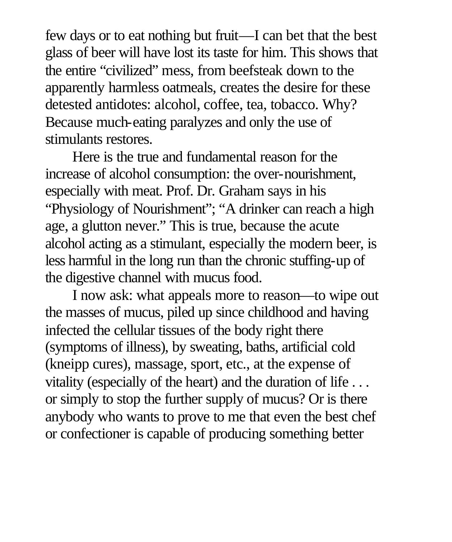few days or to eat nothing but fruit—I can bet that the best glass of beer will have lost its taste for him. This shows that the entire "civilized" mess, from beefsteak down to the apparently harmless oatmeals, creates the desire for these detested antidotes: alcohol, coffee, tea, tobacco. Why? Because much-eating paralyzes and only the use of stimulants restores.

Here is the true and fundamental reason for the increase of alcohol consumption: the over-nourishment, especially with meat. Prof. Dr. Graham says in his "Physiology of Nourishment"; "A drinker can reach a high age, a glutton never." This is true, because the acute alcohol acting as a stimulant, especially the modern beer, is less harmful in the long run than the chronic stuffing-up of the digestive channel with mucus food.

I now ask: what appeals more to reason—to wipe out the masses of mucus, piled up since childhood and having infected the cellular tissues of the body right there (symptoms of illness), by sweating, baths, artificial cold (kneipp cures), massage, sport, etc., at the expense of vitality (especially of the heart) and the duration of life . . . or simply to stop the further supply of mucus? Or is there anybody who wants to prove to me that even the best chef or confectioner is capable of producing something better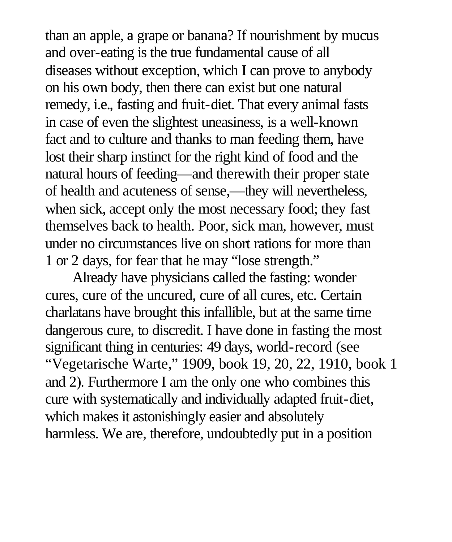than an apple, a grape or banana? If nourishment by mucus and over-eating is the true fundamental cause of all diseases without exception, which I can prove to anybody on his own body, then there can exist but one natural remedy, i.e., fasting and fruit-diet. That every animal fasts in case of even the slightest uneasiness, is a well-known fact and to culture and thanks to man feeding them, have lost their sharp instinct for the right kind of food and the natural hours of feeding—and therewith their proper state of health and acuteness of sense,—they will nevertheless, when sick, accept only the most necessary food; they fast themselves back to health. Poor, sick man, however, must under no circumstances live on short rations for more than 1 or 2 days, for fear that he may "lose strength."

Already have physicians called the fasting: wonder cures, cure of the uncured, cure of all cures, etc. Certain charlatans have brought this infallible, but at the same time dangerous cure, to discredit. I have done in fasting the most significant thing in centuries: 49 days, world-record (see "Vegetarische Warte," 1909, book 19, 20, 22, 1910, book 1 and 2). Furthermore I am the only one who combines this cure with systematically and individually adapted fruit-diet, which makes it astonishingly easier and absolutely harmless. We are, therefore, undoubtedly put in a position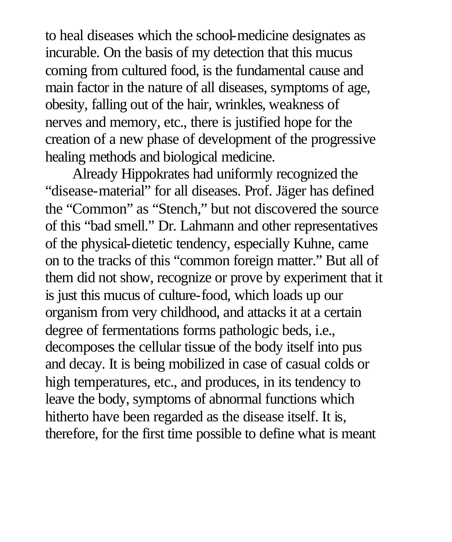to heal diseases which the school-medicine designates as incurable. On the basis of my detection that this mucus coming from cultured food, is the fundamental cause and main factor in the nature of all diseases, symptoms of age, obesity, falling out of the hair, wrinkles, weakness of nerves and memory, etc., there is justified hope for the creation of a new phase of development of the progressive healing methods and biological medicine.

Already Hippokrates had uniformly recognized the "disease-material" for all diseases. Prof. Jäger has defined the "Common" as "Stench," but not discovered the source of this "bad smell." Dr. Lahmann and other representatives of the physical-dietetic tendency, especially Kuhne, came on to the tracks of this "common foreign matter." But all of them did not show, recognize or prove by experiment that it is just this mucus of culture-food, which loads up our organism from very childhood, and attacks it at a certain degree of fermentations forms pathologic beds, i.e., decomposes the cellular tissue of the body itself into pus and decay. It is being mobilized in case of casual colds or high temperatures, etc., and produces, in its tendency to leave the body, symptoms of abnormal functions which hitherto have been regarded as the disease itself. It is, therefore, for the first time possible to define what is meant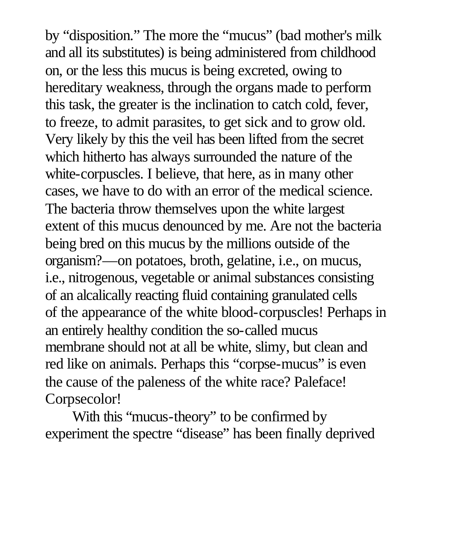by "disposition." The more the "mucus" (bad mother's milk and all its substitutes) is being administered from childhood on, or the less this mucus is being excreted, owing to hereditary weakness, through the organs made to perform this task, the greater is the inclination to catch cold, fever, to freeze, to admit parasites, to get sick and to grow old. Very likely by this the veil has been lifted from the secret which hitherto has always surrounded the nature of the white-corpuscles. I believe, that here, as in many other cases, we have to do with an error of the medical science. The bacteria throw themselves upon the white largest extent of this mucus denounced by me. Are not the bacteria being bred on this mucus by the millions outside of the organism?—on potatoes, broth, gelatine, i.e., on mucus, i.e., nitrogenous, vegetable or animal substances consisting of an alcalically reacting fluid containing granulated cells of the appearance of the white blood-corpuscles! Perhaps in an entirely healthy condition the so-called mucus membrane should not at all be white, slimy, but clean and red like on animals. Perhaps this "corpse-mucus" is even the cause of the paleness of the white race? Paleface! Corpsecolor!

With this "mucus-theory" to be confirmed by experiment the spectre "disease" has been finally deprived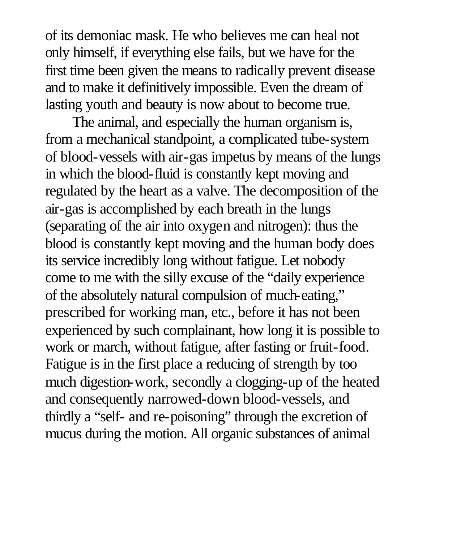of its demoniac mask. He who believes me can heal not only himself, if everything else fails, but we have for the first time been given the means to radically prevent disease and to make it definitively impossible. Even the dream of lasting youth and beauty is now about to become true.

The animal, and especially the human organism is, from a mechanical standpoint, a complicated tube-system of blood-vessels with air-gas impetus by means of the lungs in which the blood-fluid is constantly kept moving and regulated by the heart as a valve. The decomposition of the air-gas is accomplished by each breath in the lungs (separating of the air into oxygen and nitrogen): thus the blood is constantly kept moving and the human body does its service incredibly long without fatigue. Let nobody come to me with the silly excuse of the "daily experience of the absolutely natural compulsion of much-eating," prescribed for working man, etc., before it has not been experienced by such complainant, how long it is possible to work or march, without fatigue, after fasting or fruit-food. Fatigue is in the first place a reducing of strength by too much digestion-work, secondly a clogging-up of the heated and consequently narrowed-down blood-vessels, and thirdly a "self- and re-poisoning" through the excretion of mucus during the motion. All organic substances of animal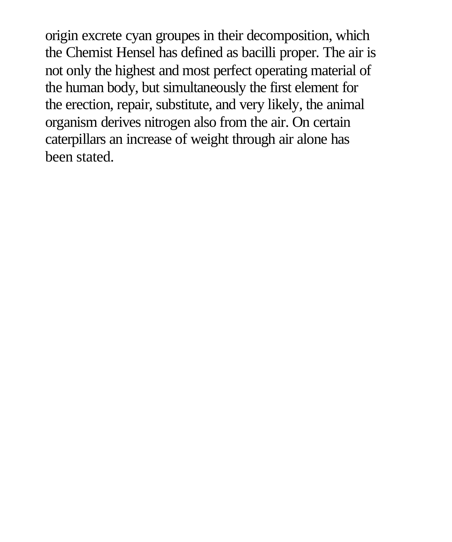origin excrete cyan groupes in their decomposition, which the Chemist Hensel has defined as bacilli proper. The air is not only the highest and most perfect operating material of the human body, but simultaneously the first element for the erection, repair, substitute, and very likely, the animal organism derives nitrogen also from the air. On certain caterpillars an increase of weight through air alone has been stated.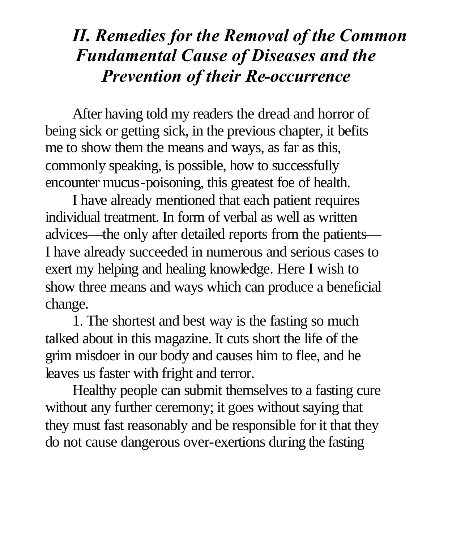#### *II. Remedies for the Removal of the Common Fundamental Cause of Diseases and the Prevention of their Re-occurrence*

After having told my readers the dread and horror of being sick or getting sick, in the previous chapter, it befits me to show them the means and ways, as far as this, commonly speaking, is possible, how to successfully encounter mucus-poisoning, this greatest foe of health.

I have already mentioned that each patient requires individual treatment. In form of verbal as well as written advices—the only after detailed reports from the patients— I have already succeeded in numerous and serious cases to exert my helping and healing knowledge. Here I wish to show three means and ways which can produce a beneficial change.

1. The shortest and best way is the fasting so much talked about in this magazine. It cuts short the life of the grim misdoer in our body and causes him to flee, and he leaves us faster with fright and terror.

Healthy people can submit themselves to a fasting cure without any further ceremony; it goes without saying that they must fast reasonably and be responsible for it that they do not cause dangerous over-exertions during the fasting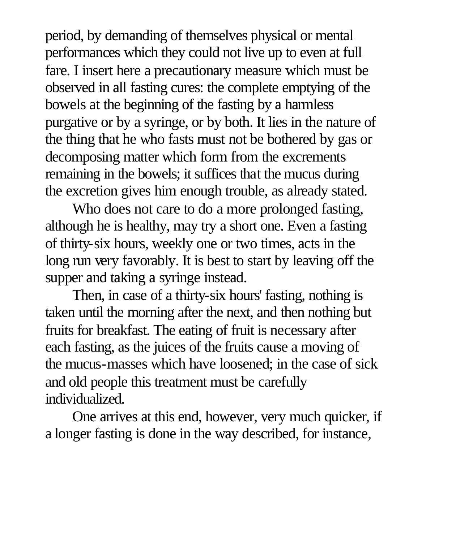period, by demanding of themselves physical or mental performances which they could not live up to even at full fare. I insert here a precautionary measure which must be observed in all fasting cures: the complete emptying of the bowels at the beginning of the fasting by a harmless purgative or by a syringe, or by both. It lies in the nature of the thing that he who fasts must not be bothered by gas or decomposing matter which form from the excrements remaining in the bowels; it suffices that the mucus during the excretion gives him enough trouble, as already stated.

Who does not care to do a more prolonged fasting, although he is healthy, may try a short one. Even a fasting of thirty-six hours, weekly one or two times, acts in the long run very favorably. It is best to start by leaving off the supper and taking a syringe instead.

Then, in case of a thirty-six hours' fasting, nothing is taken until the morning after the next, and then nothing but fruits for breakfast. The eating of fruit is necessary after each fasting, as the juices of the fruits cause a moving of the mucus-masses which have loosened; in the case of sick and old people this treatment must be carefully individualized.

One arrives at this end, however, very much quicker, if a longer fasting is done in the way described, for instance,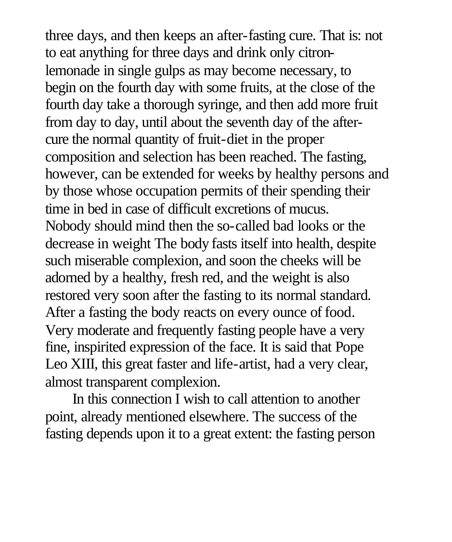three days, and then keeps an after-fasting cure. That is: not to eat anything for three days and drink only citronlemonade in single gulps as may become necessary, to begin on the fourth day with some fruits, at the close of the fourth day take a thorough syringe, and then add more fruit from day to day, until about the seventh day of the aftercure the normal quantity of fruit-diet in the proper composition and selection has been reached. The fasting, however, can be extended for weeks by healthy persons and by those whose occupation permits of their spending their time in bed in case of difficult excretions of mucus. Nobody should mind then the so-called bad looks or the decrease in weight The body fasts itself into health, despite such miserable complexion, and soon the cheeks will be adorned by a healthy, fresh red, and the weight is also restored very soon after the fasting to its normal standard. After a fasting the body reacts on every ounce of food. Very moderate and frequently fasting people have a very fine, inspirited expression of the face. It is said that Pope Leo XIII, this great faster and life-artist, had a very clear, almost transparent complexion.

In this connection I wish to call attention to another point, already mentioned elsewhere. The success of the fasting depends upon it to a great extent: the fasting person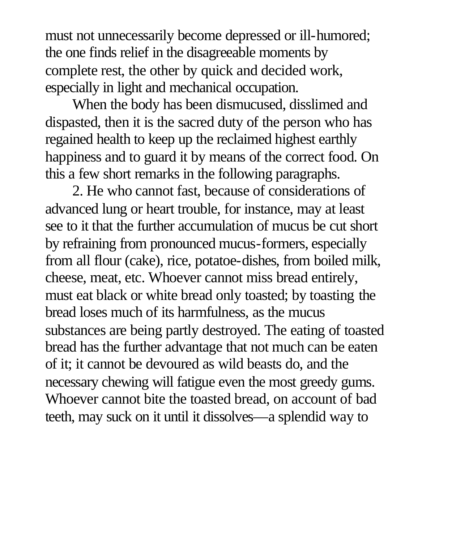must not unnecessarily become depressed or ill-humored; the one finds relief in the disagreeable moments by complete rest, the other by quick and decided work, especially in light and mechanical occupation.

When the body has been dismucused, disslimed and dispasted, then it is the sacred duty of the person who has regained health to keep up the reclaimed highest earthly happiness and to guard it by means of the correct food. On this a few short remarks in the following paragraphs.

2. He who cannot fast, because of considerations of advanced lung or heart trouble, for instance, may at least see to it that the further accumulation of mucus be cut short by refraining from pronounced mucus-formers, especially from all flour (cake), rice, potatoe-dishes, from boiled milk, cheese, meat, etc. Whoever cannot miss bread entirely, must eat black or white bread only toasted; by toasting the bread loses much of its harmfulness, as the mucus substances are being partly destroyed. The eating of toasted bread has the further advantage that not much can be eaten of it; it cannot be devoured as wild beasts do, and the necessary chewing will fatigue even the most greedy gums. Whoever cannot bite the toasted bread, on account of bad teeth, may suck on it until it dissolves—a splendid way to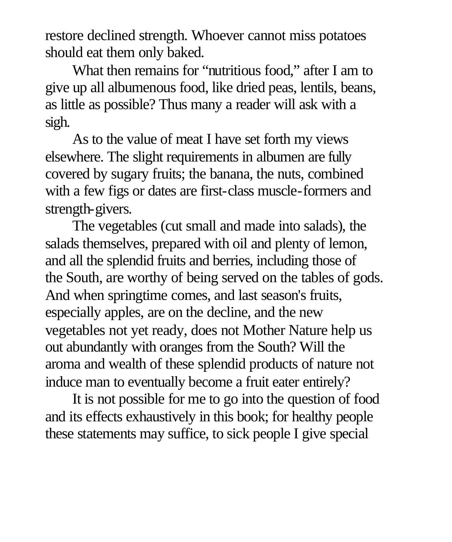restore declined strength. Whoever cannot miss potatoes should eat them only baked.

What then remains for "nutritious food," after I am to give up all albumenous food, like dried peas, lentils, beans, as little as possible? Thus many a reader will ask with a sigh.

As to the value of meat I have set forth my views elsewhere. The slight requirements in albumen are fully covered by sugary fruits; the banana, the nuts, combined with a few figs or dates are first-class muscle-formers and strength-givers.

The vegetables (cut small and made into salads), the salads themselves, prepared with oil and plenty of lemon, and all the splendid fruits and berries, including those of the South, are worthy of being served on the tables of gods. And when springtime comes, and last season's fruits, especially apples, are on the decline, and the new vegetables not yet ready, does not Mother Nature help us out abundantly with oranges from the South? Will the aroma and wealth of these splendid products of nature not induce man to eventually become a fruit eater entirely?

It is not possible for me to go into the question of food and its effects exhaustively in this book; for healthy people these statements may suffice, to sick people I give special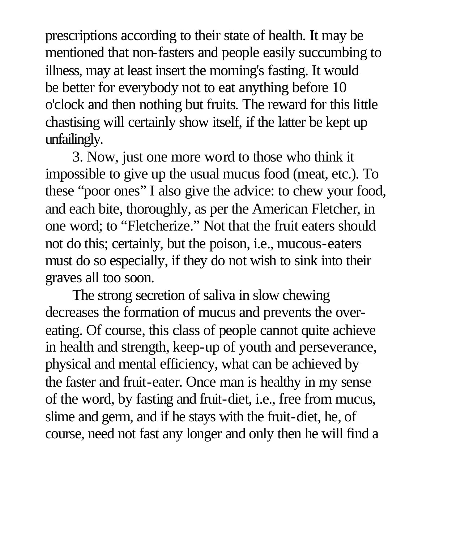prescriptions according to their state of health. It may be mentioned that non-fasters and people easily succumbing to illness, may at least insert the morning's fasting. It would be better for everybody not to eat anything before 10 o'clock and then nothing but fruits. The reward for this little chastising will certainly show itself, if the latter be kept up unfailingly.

3. Now, just one more word to those who think it impossible to give up the usual mucus food (meat, etc.). To these "poor ones" I also give the advice: to chew your food, and each bite, thoroughly, as per the American Fletcher, in one word; to "Fletcherize." Not that the fruit eaters should not do this; certainly, but the poison, i.e., mucous-eaters must do so especially, if they do not wish to sink into their graves all too soon.

The strong secretion of saliva in slow chewing decreases the formation of mucus and prevents the overeating. Of course, this class of people cannot quite achieve in health and strength, keep-up of youth and perseverance, physical and mental efficiency, what can be achieved by the faster and fruit-eater. Once man is healthy in my sense of the word, by fasting and fruit-diet, i.e., free from mucus, slime and germ, and if he stays with the fruit-diet, he, of course, need not fast any longer and only then he will find a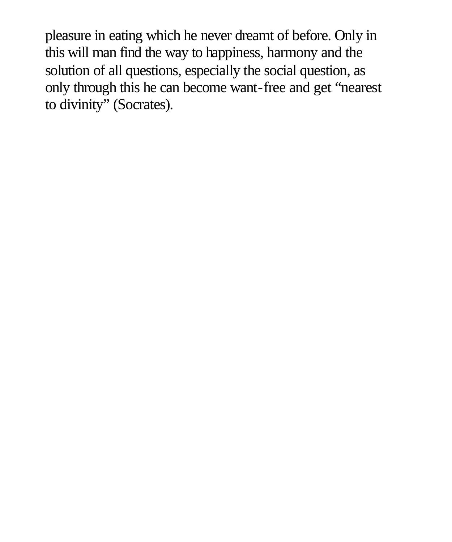pleasure in eating which he never dreamt of before. Only in this will man find the way to happiness, harmony and the solution of all questions, especially the social question, as only through this he can become want-free and get "nearest to divinity" (Socrates).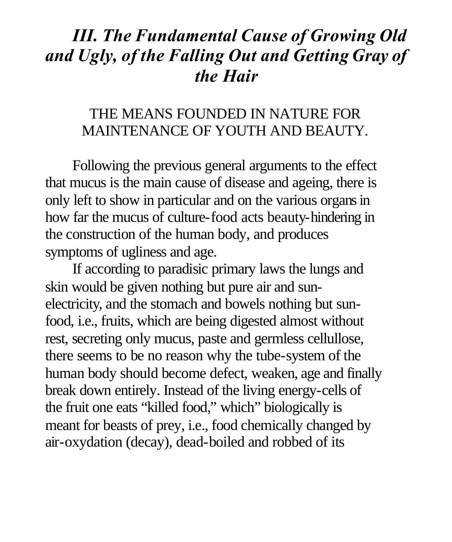#### *III. The Fundamental Cause of Growing Old and Ugly, of the Falling Out and Getting Gray of the Hair*

#### THE MEANS FOUNDED IN NATURE FOR MAINTENANCE OF YOUTH AND BEAUTY.

Following the previous general arguments to the effect that mucus is the main cause of disease and ageing, there is only left to show in particular and on the various organs in how far the mucus of culture-food acts beauty-hindering in the construction of the human body, and produces symptoms of ugliness and age.

If according to paradisic primary laws the lungs and skin would be given nothing but pure air and sunelectricity, and the stomach and bowels nothing but sunfood, i.e., fruits, which are being digested almost without rest, secreting only mucus, paste and germless cellullose, there seems to be no reason why the tube-system of the human body should become defect, weaken, age and finally break down entirely. Instead of the living energy-cells of the fruit one eats "killed food," which" biologically is meant for beasts of prey, i.e., food chemically changed by air-oxydation (decay), dead-boiled and robbed of its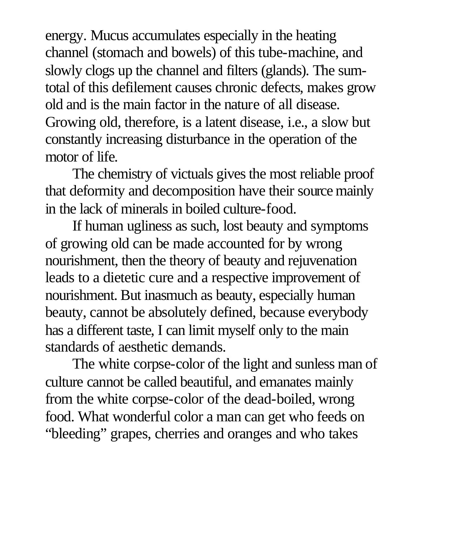energy. Mucus accumulates especially in the heating channel (stomach and bowels) of this tube-machine, and slowly clogs up the channel and filters (glands). The sumtotal of this defilement causes chronic defects, makes grow old and is the main factor in the nature of all disease. Growing old, therefore, is a latent disease, i.e., a slow but constantly increasing disturbance in the operation of the motor of life.

The chemistry of victuals gives the most reliable proof that deformity and decomposition have their source mainly in the lack of minerals in boiled culture-food.

If human ugliness as such, lost beauty and symptoms of growing old can be made accounted for by wrong nourishment, then the theory of beauty and rejuvenation leads to a dietetic cure and a respective improvement of nourishment. But inasmuch as beauty, especially human beauty, cannot be absolutely defined, because everybody has a different taste, I can limit myself only to the main standards of aesthetic demands.

The white corpse-color of the light and sunless man of culture cannot be called beautiful, and emanates mainly from the white corpse-color of the dead-boiled, wrong food. What wonderful color a man can get who feeds on "bleeding" grapes, cherries and oranges and who takes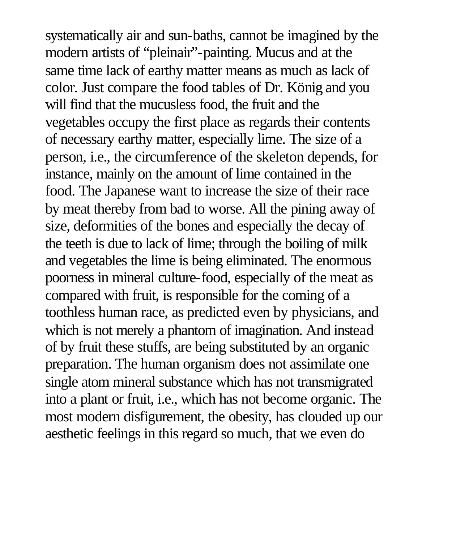systematically air and sun-baths, cannot be imagined by the modern artists of "pleinair"-painting. Mucus and at the same time lack of earthy matter means as much as lack of color. Just compare the food tables of Dr. König and you will find that the mucusless food, the fruit and the vegetables occupy the first place as regards their contents of necessary earthy matter, especially lime. The size of a person, i.e., the circumference of the skeleton depends, for instance, mainly on the amount of lime contained in the food. The Japanese want to increase the size of their race by meat thereby from bad to worse. All the pining away of size, deformities of the bones and especially the decay of the teeth is due to lack of lime; through the boiling of milk and vegetables the lime is being eliminated. The enormous poorness in mineral culture-food, especially of the meat as compared with fruit, is responsible for the coming of a toothless human race, as predicted even by physicians, and which is not merely a phantom of imagination. And instead of by fruit these stuffs, are being substituted by an organic preparation. The human organism does not assimilate one single atom mineral substance which has not transmigrated into a plant or fruit, i.e., which has not become organic. The most modern disfigurement, the obesity, has clouded up our aesthetic feelings in this regard so much, that we even do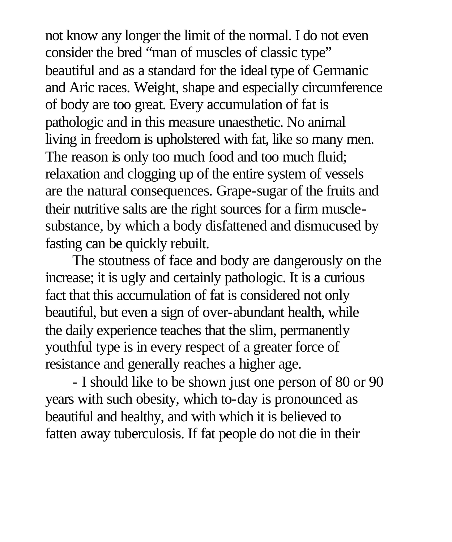not know any longer the limit of the normal. I do not even consider the bred "man of muscles of classic type" beautiful and as a standard for the ideal type of Germanic and Aric races. Weight, shape and especially circumference of body are too great. Every accumulation of fat is pathologic and in this measure unaesthetic. No animal living in freedom is upholstered with fat, like so many men. The reason is only too much food and too much fluid; relaxation and clogging up of the entire system of vessels are the natural consequences. Grape-sugar of the fruits and their nutritive salts are the right sources for a firm musclesubstance, by which a body disfattened and dismucused by fasting can be quickly rebuilt.

The stoutness of face and body are dangerously on the increase; it is ugly and certainly pathologic. It is a curious fact that this accumulation of fat is considered not only beautiful, but even a sign of over-abundant health, while the daily experience teaches that the slim, permanently youthful type is in every respect of a greater force of resistance and generally reaches a higher age.

- I should like to be shown just one person of 80 or 90 years with such obesity, which to-day is pronounced as beautiful and healthy, and with which it is believed to fatten away tuberculosis. If fat people do not die in their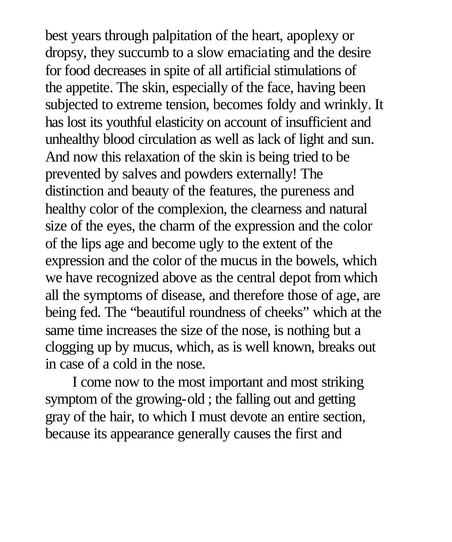best years through palpitation of the heart, apoplexy or dropsy, they succumb to a slow emaciating and the desire for food decreases in spite of all artificial stimulations of the appetite. The skin, especially of the face, having been subjected to extreme tension, becomes foldy and wrinkly. It has lost its youthful elasticity on account of insufficient and unhealthy blood circulation as well as lack of light and sun. And now this relaxation of the skin is being tried to be prevented by salves and powders externally! The distinction and beauty of the features, the pureness and healthy color of the complexion, the clearness and natural size of the eyes, the charm of the expression and the color of the lips age and become ugly to the extent of the expression and the color of the mucus in the bowels, which we have recognized above as the central depot from which all the symptoms of disease, and therefore those of age, are being fed. The "beautiful roundness of cheeks" which at the same time increases the size of the nose, is nothing but a clogging up by mucus, which, as is well known, breaks out in case of a cold in the nose.

I come now to the most important and most striking symptom of the growing-old ; the falling out and getting gray of the hair, to which I must devote an entire section, because its appearance generally causes the first and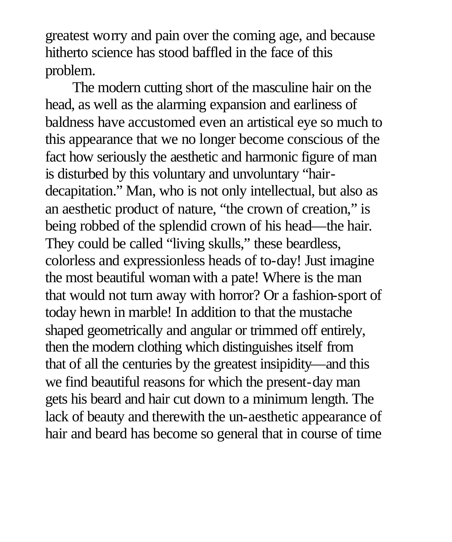greatest worry and pain over the coming age, and because hitherto science has stood baffled in the face of this problem.

The modern cutting short of the masculine hair on the head, as well as the alarming expansion and earliness of baldness have accustomed even an artistical eye so much to this appearance that we no longer become conscious of the fact how seriously the aesthetic and harmonic figure of man is disturbed by this voluntary and unvoluntary "hairdecapitation." Man, who is not only intellectual, but also as an aesthetic product of nature, "the crown of creation," is being robbed of the splendid crown of his head—the hair. They could be called "living skulls," these beardless, colorless and expressionless heads of to-day! Just imagine the most beautiful woman with a pate! Where is the man that would not turn away with horror? Or a fashion-sport of today hewn in marble! In addition to that the mustache shaped geometrically and angular or trimmed off entirely, then the modern clothing which distinguishes itself from that of all the centuries by the greatest insipidity—and this we find beautiful reasons for which the present-day man gets his beard and hair cut down to a minimum length. The lack of beauty and therewith the un-aesthetic appearance of hair and beard has become so general that in course of time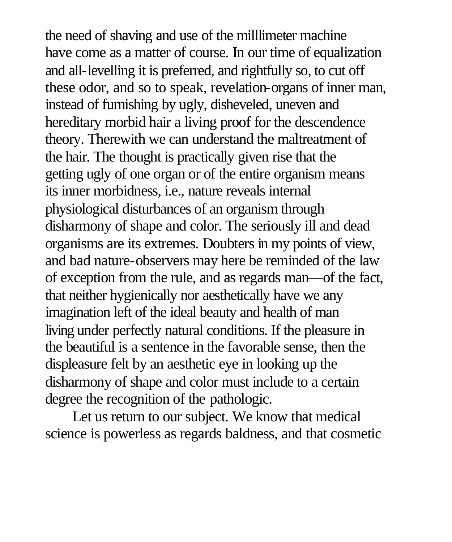the need of shaving and use of the milllimeter machine have come as a matter of course. In our time of equalization and all-levelling it is preferred, and rightfully so, to cut off these odor, and so to speak, revelation-organs of inner man, instead of furnishing by ugly, disheveled, uneven and hereditary morbid hair a living proof for the descendence theory. Therewith we can understand the maltreatment of the hair. The thought is practically given rise that the getting ugly of one organ or of the entire organism means its inner morbidness, i.e., nature reveals internal physiological disturbances of an organism through disharmony of shape and color. The seriously ill and dead organisms are its extremes. Doubters in my points of view, and bad nature-observers may here be reminded of the law of exception from the rule, and as regards man—of the fact, that neither hygienically nor aesthetically have we any imagination left of the ideal beauty and health of man living under perfectly natural conditions. If the pleasure in the beautiful is a sentence in the favorable sense, then the displeasure felt by an aesthetic eye in looking up the disharmony of shape and color must include to a certain degree the recognition of the pathologic.

Let us return to our subject. We know that medical science is powerless as regards baldness, and that cosmetic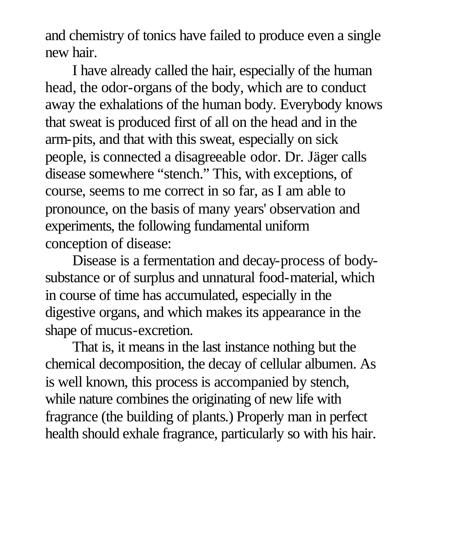and chemistry of tonics have failed to produce even a single new hair.

I have already called the hair, especially of the human head, the odor-organs of the body, which are to conduct away the exhalations of the human body. Everybody knows that sweat is produced first of all on the head and in the arm-pits, and that with this sweat, especially on sick people, is connected a disagreeable odor. Dr. Jäger calls disease somewhere "stench." This, with exceptions, of course, seems to me correct in so far, as I am able to pronounce, on the basis of many years' observation and experiments, the following fundamental uniform conception of disease:

Disease is a fermentation and decay-process of bodysubstance or of surplus and unnatural food-material, which in course of time has accumulated, especially in the digestive organs, and which makes its appearance in the shape of mucus-excretion.

That is, it means in the last instance nothing but the chemical decomposition, the decay of cellular albumen. As is well known, this process is accompanied by stench, while nature combines the originating of new life with fragrance (the building of plants.) Properly man in perfect health should exhale fragrance, particularly so with his hair.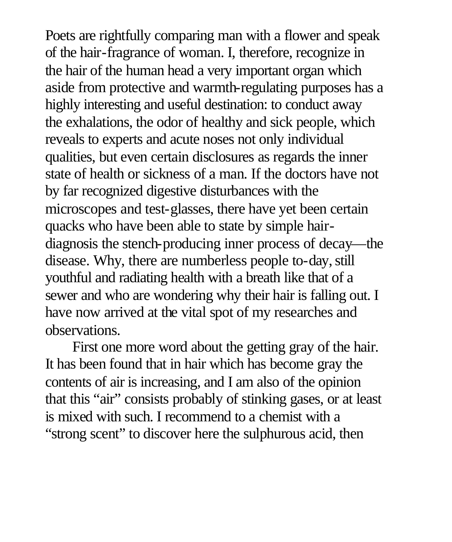Poets are rightfully comparing man with a flower and speak of the hair-fragrance of woman. I, therefore, recognize in the hair of the human head a very important organ which aside from protective and warmth-regulating purposes has a highly interesting and useful destination: to conduct away the exhalations, the odor of healthy and sick people, which reveals to experts and acute noses not only individual qualities, but even certain disclosures as regards the inner state of health or sickness of a man. If the doctors have not by far recognized digestive disturbances with the microscopes and test-glasses, there have yet been certain quacks who have been able to state by simple hairdiagnosis the stench-producing inner process of decay—the disease. Why, there are numberless people to-day, still youthful and radiating health with a breath like that of a sewer and who are wondering why their hair is falling out. I have now arrived at the vital spot of my researches and observations.

First one more word about the getting gray of the hair. It has been found that in hair which has become gray the contents of air is increasing, and I am also of the opinion that this "air" consists probably of stinking gases, or at least is mixed with such. I recommend to a chemist with a "strong scent" to discover here the sulphurous acid, then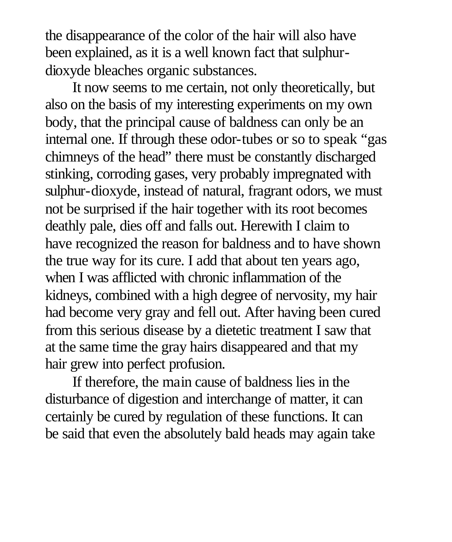the disappearance of the color of the hair will also have been explained, as it is a well known fact that sulphurdioxyde bleaches organic substances.

It now seems to me certain, not only theoretically, but also on the basis of my interesting experiments on my own body, that the principal cause of baldness can only be an internal one. If through these odor-tubes or so to speak "gas chimneys of the head" there must be constantly discharged stinking, corroding gases, very probably impregnated with sulphur-dioxyde, instead of natural, fragrant odors, we must not be surprised if the hair together with its root becomes deathly pale, dies off and falls out. Herewith I claim to have recognized the reason for baldness and to have shown the true way for its cure. I add that about ten years ago, when I was afflicted with chronic inflammation of the kidneys, combined with a high degree of nervosity, my hair had become very gray and fell out. After having been cured from this serious disease by a dietetic treatment I saw that at the same time the gray hairs disappeared and that my hair grew into perfect profusion.

If therefore, the main cause of baldness lies in the disturbance of digestion and interchange of matter, it can certainly be cured by regulation of these functions. It can be said that even the absolutely bald heads may again take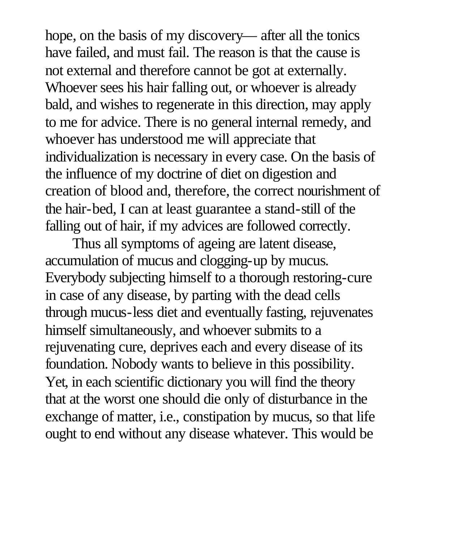hope, on the basis of my discovery— after all the tonics have failed, and must fail. The reason is that the cause is not external and therefore cannot be got at externally. Whoever sees his hair falling out, or whoever is already bald, and wishes to regenerate in this direction, may apply to me for advice. There is no general internal remedy, and whoever has understood me will appreciate that individualization is necessary in every case. On the basis of the influence of my doctrine of diet on digestion and creation of blood and, therefore, the correct nourishment of the hair-bed, I can at least guarantee a stand-still of the falling out of hair, if my advices are followed correctly.

Thus all symptoms of ageing are latent disease, accumulation of mucus and clogging-up by mucus. Everybody subjecting himself to a thorough restoring-cure in case of any disease, by parting with the dead cells through mucus-less diet and eventually fasting, rejuvenates himself simultaneously, and whoever submits to a rejuvenating cure, deprives each and every disease of its foundation. Nobody wants to believe in this possibility. Yet, in each scientific dictionary you will find the theory that at the worst one should die only of disturbance in the exchange of matter, i.e., constipation by mucus, so that life ought to end without any disease whatever. This would be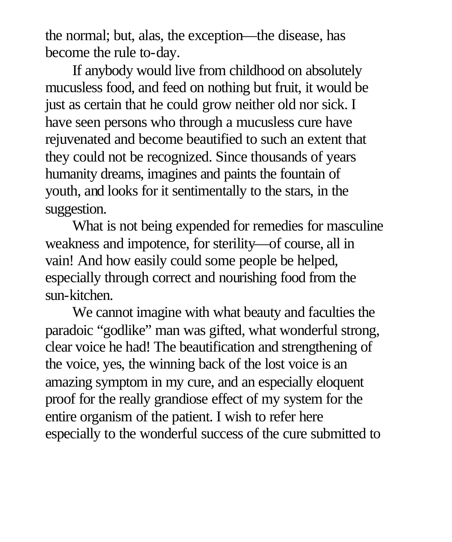the normal; but, alas, the exception—the disease, has become the rule to-day.

If anybody would live from childhood on absolutely mucusless food, and feed on nothing but fruit, it would be just as certain that he could grow neither old nor sick. I have seen persons who through a mucusless cure have rejuvenated and become beautified to such an extent that they could not be recognized. Since thousands of years humanity dreams, imagines and paints the fountain of youth, and looks for it sentimentally to the stars, in the suggestion.

What is not being expended for remedies for masculine weakness and impotence, for sterility—of course, all in vain! And how easily could some people be helped, especially through correct and nourishing food from the sun-kitchen.

We cannot imagine with what beauty and faculties the paradoic "godlike" man was gifted, what wonderful strong, clear voice he had! The beautification and strengthening of the voice, yes, the winning back of the lost voice is an amazing symptom in my cure, and an especially eloquent proof for the really grandiose effect of my system for the entire organism of the patient. I wish to refer here especially to the wonderful success of the cure submitted to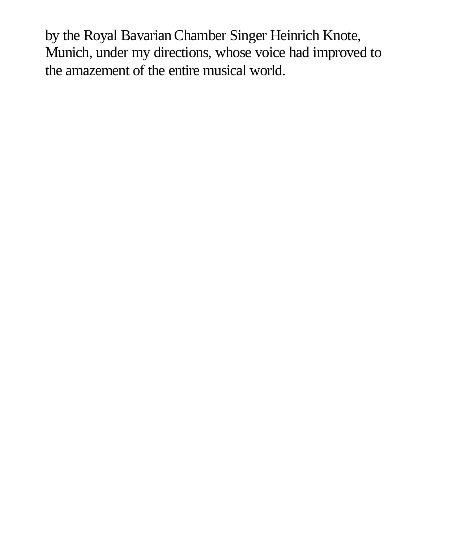by the Royal Bavarian Chamber Singer Heinrich Knote, Munich, under my directions, whose voice had improved to the amazement of the entire musical world.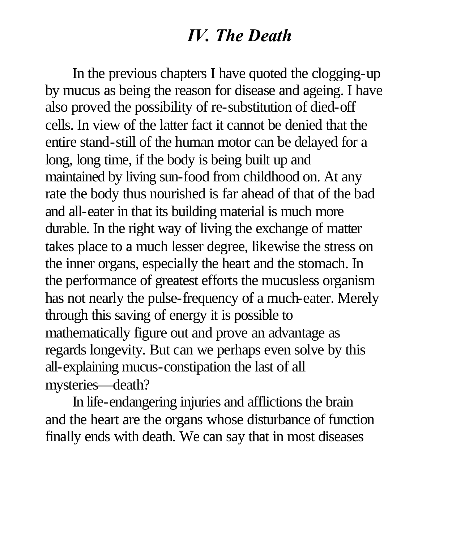#### *IV. The Death*

In the previous chapters I have quoted the clogging-up by mucus as being the reason for disease and ageing. I have also proved the possibility of re-substitution of died-off cells. In view of the latter fact it cannot be denied that the entire stand-still of the human motor can be delayed for a long, long time, if the body is being built up and maintained by living sun-food from childhood on. At any rate the body thus nourished is far ahead of that of the bad and all-eater in that its building material is much more durable. In the right way of living the exchange of matter takes place to a much lesser degree, likewise the stress on the inner organs, especially the heart and the stomach. In the performance of greatest efforts the mucusless organism has not nearly the pulse-frequency of a much-eater. Merely through this saving of energy it is possible to mathematically figure out and prove an advantage as regards longevity. But can we perhaps even solve by this all-explaining mucus-constipation the last of all mysteries—death?

In life-endangering injuries and afflictions the brain and the heart are the organs whose disturbance of function finally ends with death. We can say that in most diseases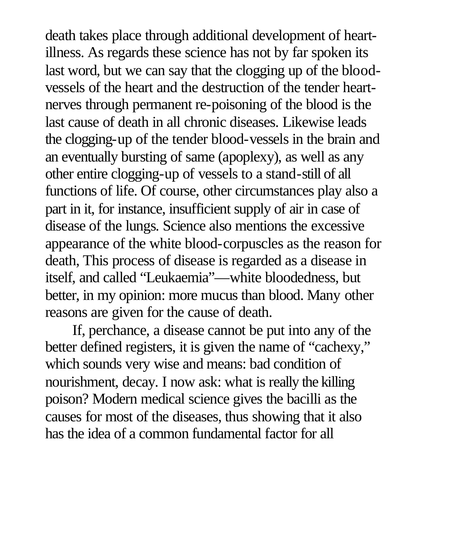death takes place through additional development of heartillness. As regards these science has not by far spoken its last word, but we can say that the clogging up of the bloodvessels of the heart and the destruction of the tender heartnerves through permanent re-poisoning of the blood is the last cause of death in all chronic diseases. Likewise leads the clogging-up of the tender blood-vessels in the brain and an eventually bursting of same (apoplexy), as well as any other entire clogging-up of vessels to a stand-still of all functions of life. Of course, other circumstances play also a part in it, for instance, insufficient supply of air in case of disease of the lungs. Science also mentions the excessive appearance of the white blood-corpuscles as the reason for death, This process of disease is regarded as a disease in itself, and called "Leukaemia"—white bloodedness, but better, in my opinion: more mucus than blood. Many other reasons are given for the cause of death.

If, perchance, a disease cannot be put into any of the better defined registers, it is given the name of "cachexy," which sounds very wise and means: bad condition of nourishment, decay. I now ask: what is really the killing poison? Modern medical science gives the bacilli as the causes for most of the diseases, thus showing that it also has the idea of a common fundamental factor for all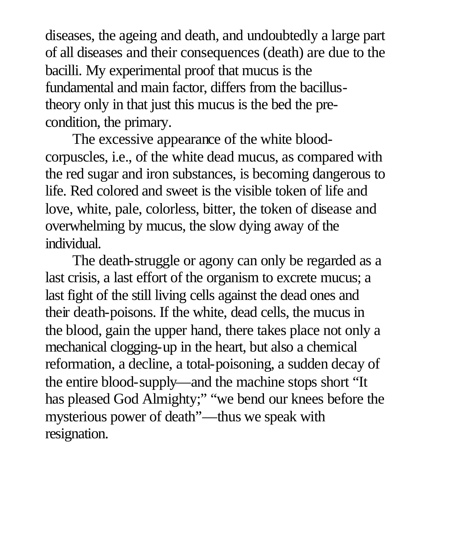diseases, the ageing and death, and undoubtedly a large part of all diseases and their consequences (death) are due to the bacilli. My experimental proof that mucus is the fundamental and main factor, differs from the bacillustheory only in that just this mucus is the bed the precondition, the primary.

The excessive appearance of the white bloodcorpuscles, i.e., of the white dead mucus, as compared with the red sugar and iron substances, is becoming dangerous to life. Red colored and sweet is the visible token of life and love, white, pale, colorless, bitter, the token of disease and overwhelming by mucus, the slow dying away of the individual.

The death-struggle or agony can only be regarded as a last crisis, a last effort of the organism to excrete mucus; a last fight of the still living cells against the dead ones and their death-poisons. If the white, dead cells, the mucus in the blood, gain the upper hand, there takes place not only a mechanical clogging-up in the heart, but also a chemical reformation, a decline, a total-poisoning, a sudden decay of the entire blood-supply—and the machine stops short "It has pleased God Almighty;" "we bend our knees before the mysterious power of death"—thus we speak with resignation.